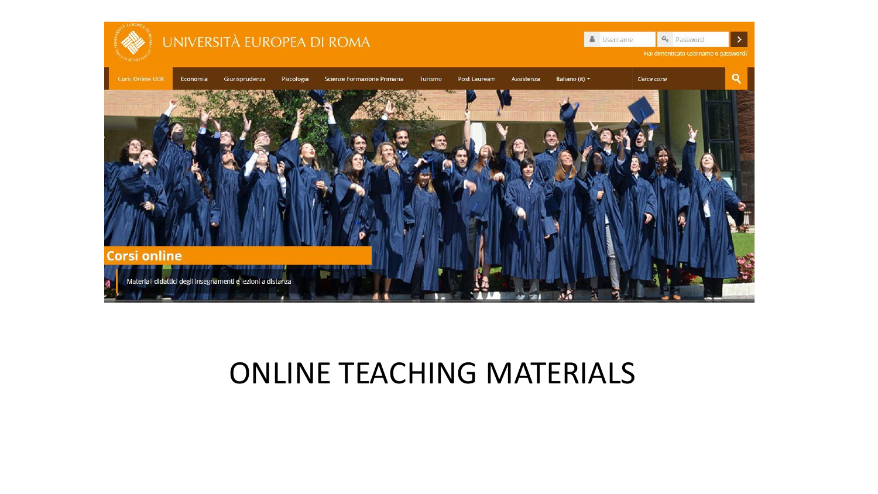

# ONLINE TEACHING MATERIALS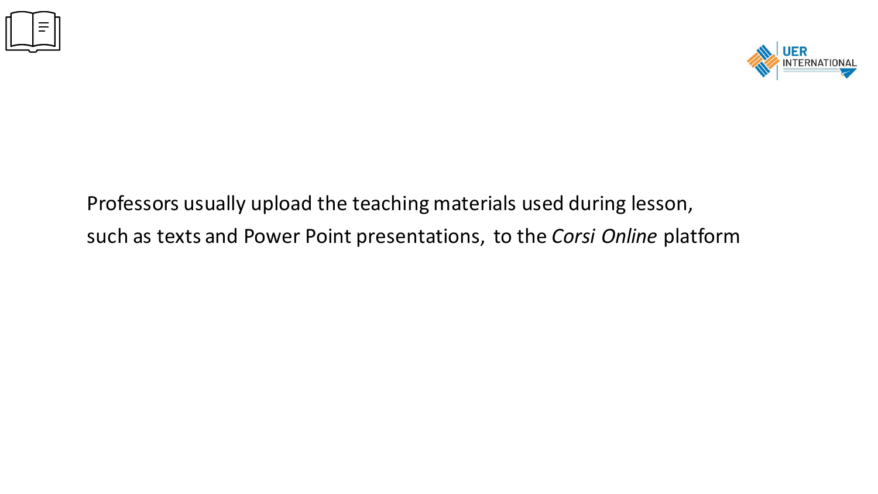



Professors usually upload the teaching materials used during lesson, such as texts and Power Point presentations, to the *Corsi Online* platform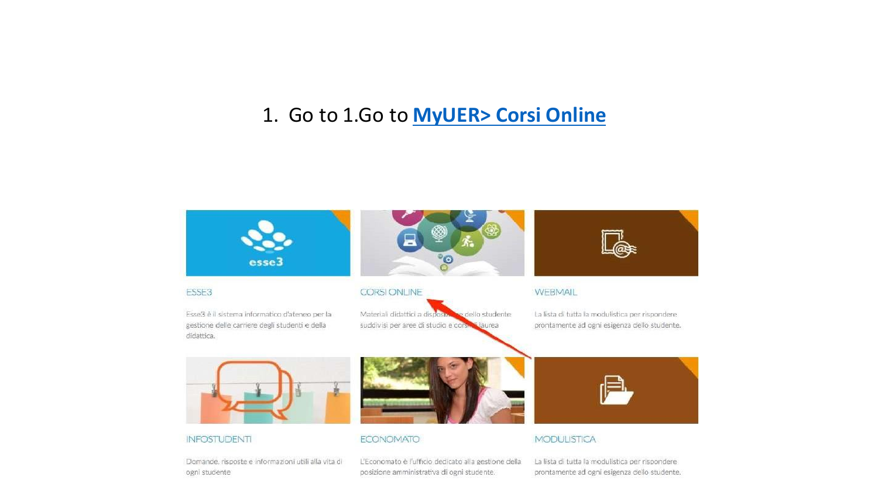### 1. Go to 1.Go to **[MyUER> Corsi Online](https://corsi.universitaeuropeadiroma.it/)**



Domande, risposte e informazioni utili alla vita di ogni studente

L'Economato è l'ufficio dedicato alla gestione della posizione amministrativa di ogni studente.

La lista di tutta la modulistica per rispondere prontamente ad ogni esigenza dello studente.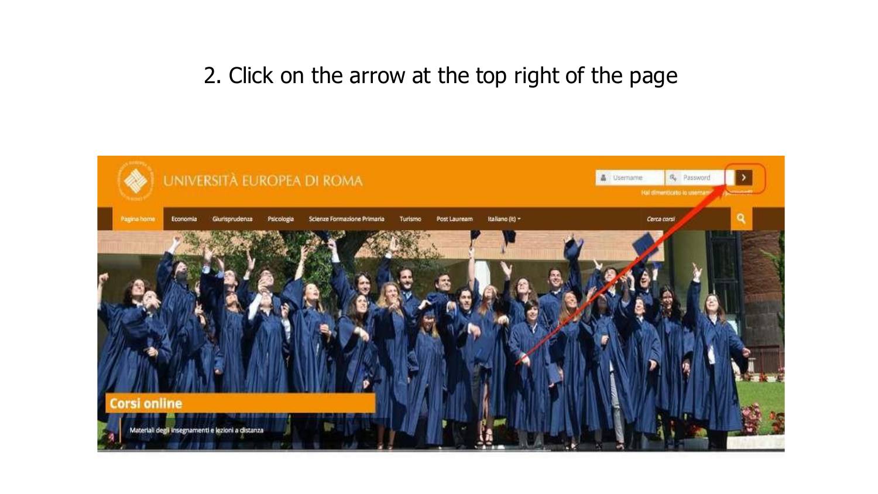## 2. Click on the arrow at the top right of the page

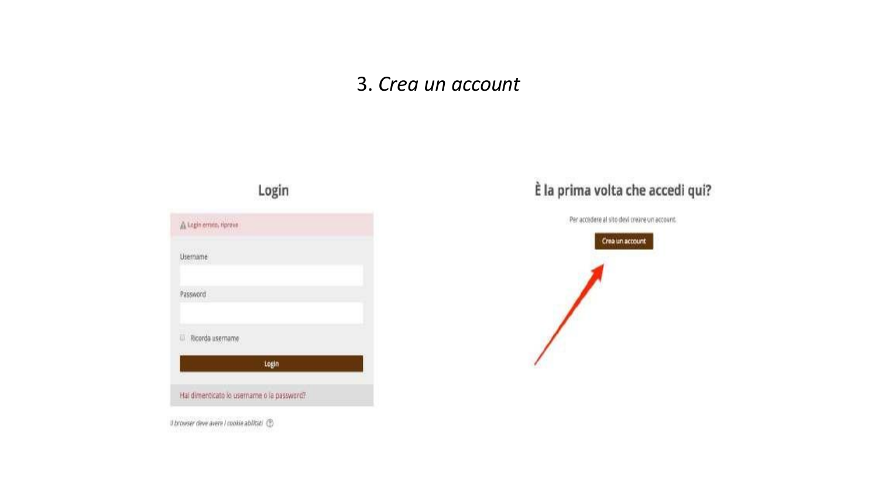#### 3. *Crea un account*



#### È la prima volta che accedi qui?

Per accedere al sito devi creare un account.



Il browser deve avere I cookie abilitie! (D)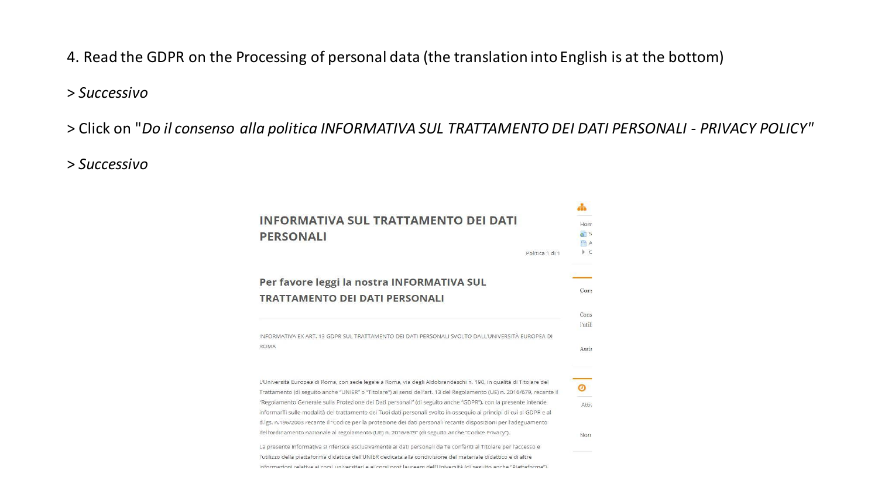4. Read the GDPR on the Processing of personal data (the translation into English is at the bottom)

#### > *Successivo*

> Click on "*Do il consenso alla politica INFORMATIVA SUL TRATTAMENTO DEI DATI PERSONALI - PRIVACY POLICY"*

> *Successivo*

| <b>INFORMATIVA SUL TRATTAMENTO DEI DATI</b><br><b>PERSONALI</b><br>Politica 1 di 1                                     | Hom<br>5 <sup>h</sup><br><b>A</b><br>ÞС |
|------------------------------------------------------------------------------------------------------------------------|-----------------------------------------|
|                                                                                                                        |                                         |
| Per favore leggi la nostra INFORMATIVA SUL<br><b>TRATTAMENTO DEI DATI PERSONALI</b>                                    | Cors                                    |
|                                                                                                                        | Cons<br>l'utili                         |
| INFORMATIVA EX ART. 13 GDPR SUL TRATTAMENTO DEI DATI PERSONALI SVOLTO DALL'UNIVERSITÀ EUROPEA DI<br><b>ROMA</b>        | Assis                                   |
| L'Università Europea di Roma, con sede legale a Roma, via degli Aldobrandeschi n. 190, in qualità di Titolare del      |                                         |
| Trattamento (di seguito anche "UNIER" o "Titolare") ai sensi dell'art. 13 del Regolamento (UE) n. 2016/679, recante il | ര                                       |
| "Regolamento Generale sulla Protezione dei Dati personali" (di seguito anche "GDPR"), con la presente intende          | Attiv                                   |
| informarTi sulle modalità del trattamento dei Tuoi dati personali svolto in osseguio ai principi di cui al GDPR e al   |                                         |
| d.lgs. n.196/2003 recante il "Codice per la protezione dei dati personali recante disposizioni per l'adeguamento       |                                         |
| dell'ordinamento nazionale al regolamento (UE) n. 2016/679" (di seguito anche "Codice Privacy").                       | Non                                     |
| La presente informativa si riferisce esclusivamente ai dati personali da Te conferiti al Titolare per l'accesso e      |                                         |
| l'utilizzo della piattaforma didattica dell'UNIER dedicata alla condivisione del materiale didattico e di altre        |                                         |
| informazioni relative ai corsi universitari e ai corsi post lauream dell'Università (di seguito anche "Piattaforma").  |                                         |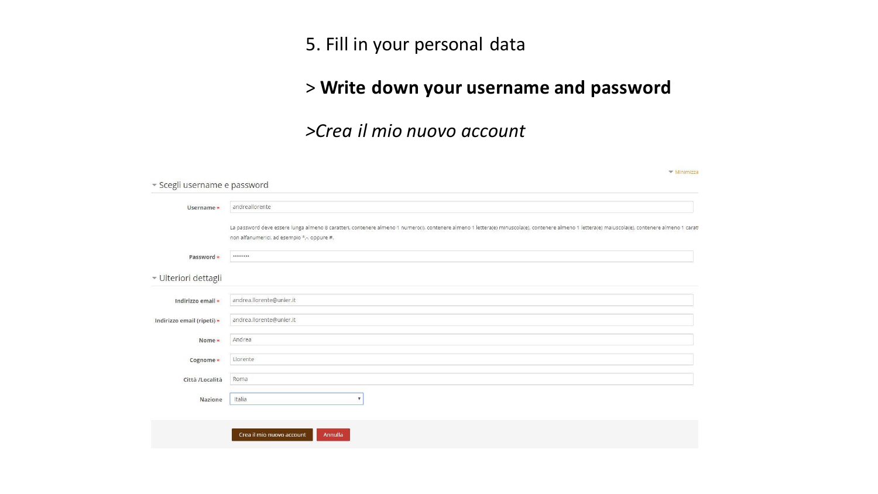5. Fill in your personal data

#### > **Write down your username and password**

#### *>Crea il mio nuovo account*

| ▼ Minimizza<br>* Scegli username e password                                                                                                                                                                                                      |
|--------------------------------------------------------------------------------------------------------------------------------------------------------------------------------------------------------------------------------------------------|
| andreallorente                                                                                                                                                                                                                                   |
|                                                                                                                                                                                                                                                  |
| La password deve essere lunga almeno 8 caratteri, contenere almeno 1 numero(i), contenere almeno 1 lettera(e) minuscola(e), contenere almeno 1 lettera(e) maiuscola(e), contenere almeno 1 caratt<br>non alfanumerici, ad esempio *,-, oppure #. |
|                                                                                                                                                                                                                                                  |
|                                                                                                                                                                                                                                                  |
| andrea.llorente@unier.it                                                                                                                                                                                                                         |
| andrea.llorente@unier.it                                                                                                                                                                                                                         |
| Andrea                                                                                                                                                                                                                                           |
| Llorente                                                                                                                                                                                                                                         |
| Roma                                                                                                                                                                                                                                             |
| Italia<br>$\boldsymbol{\mathrm{v}}$                                                                                                                                                                                                              |
|                                                                                                                                                                                                                                                  |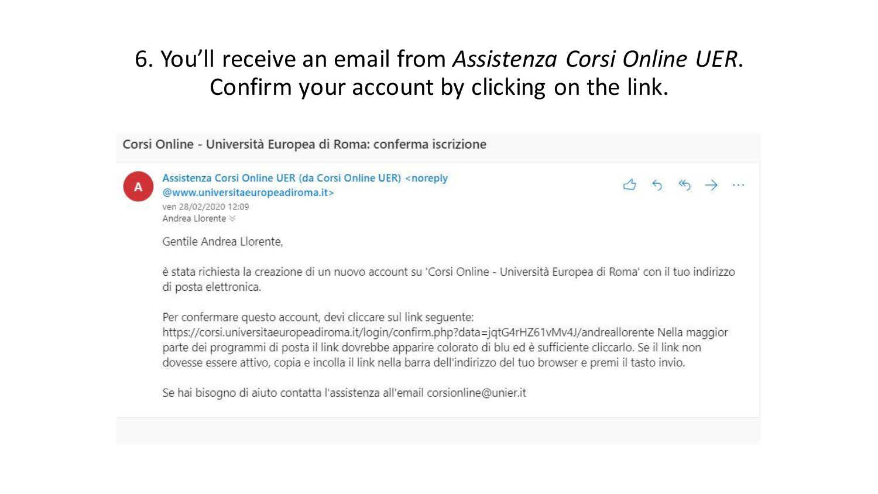# 6. You'll receive an email from *Assistenza Corsi Online UER*. Confirm your account by clicking on the link.

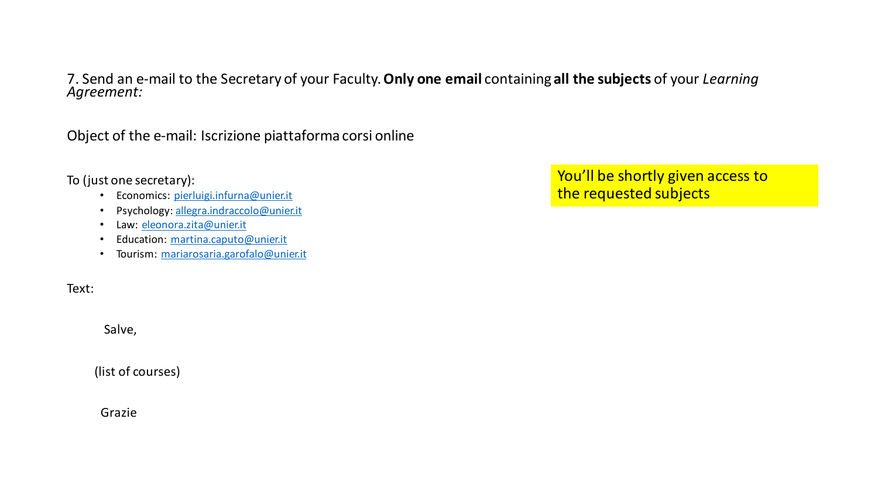7. Send an e-mail to the Secretary of your Faculty. **Only one email** containing **all the subjects** of your *Learning Agreement:*

Object of the e-mail: Iscrizione piattaforma corsi online

To (just one secretary):

- Economics: [pierluigi.infurna@unier.it](mailto:pierluigi.infurna@unier.it)
- Psychology: [allegra.indraccolo@unier.it](mailto:allegra.indraccolo@unier.it)
- Law: [eleonora.zita@unier.it](mailto:eleonora.zita@unier.it)
- Education: [martina.caputo@unier.it](mailto:martina.caputo@unier.it)
- Tourism: [mariarosaria.garofalo@unier.it](mailto:mariarosaria.garofalo@unier.it)

Text:

Salve,

(list of courses)

Grazie

You'll be shortly given access to the requested subjects